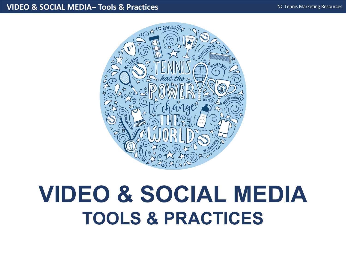#### **VIDEO & SOCIAL MEDIA– Tools & Practices**



# **VIDEO & SOCIAL MEDIA TOOLS & PRACTICES**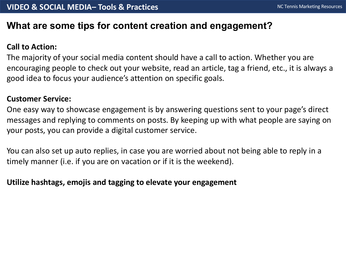## **What are some tips for content creation and engagement?**

## **Call to Action:**

The majority of your social media content should have a call to action. Whether you are encouraging people to check out your website, read an article, tag a friend, etc., it is always a good idea to focus your audience's attention on specific goals.

#### **Customer Service:**

One easy way to showcase engagement is by answering questions sent to your page's direct messages and replying to comments on posts. By keeping up with what people are saying on your posts, you can provide a digital customer service.

You can also set up auto replies, in case you are worried about not being able to reply in a timely manner (i.e. if you are on vacation or if it is the weekend).

#### **Utilize hashtags, emojis and tagging to elevate your engagement**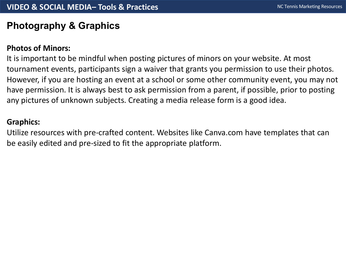# **Photography & Graphics**

## **Photos of Minors:**

It is important to be mindful when posting pictures of minors on your website. At most tournament events, participants sign a waiver that grants you permission to use their photos. However, if you are hosting an event at a school or some other community event, you may not have permission. It is always best to ask permission from a parent, if possible, prior to posting any pictures of unknown subjects. Creating a media release form is a good idea.

## **Graphics:**

Utilize resources with pre-crafted content. Websites like Canva.com have templates that can be easily edited and pre-sized to fit the appropriate platform.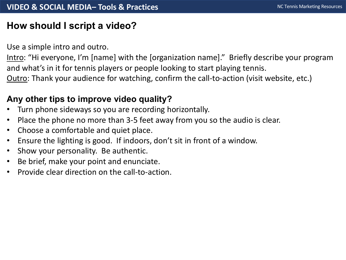# **How should I script a video?**

Use a simple intro and outro.

Intro: "Hi everyone, I'm [name] with the [organization name]." Briefly describe your program and what's in it for tennis players or people looking to start playing tennis. Outro: Thank your audience for watching, confirm the call-to-action (visit website, etc.)

## **Any other tips to improve video quality?**

- Turn phone sideways so you are recording horizontally.
- Place the phone no more than 3-5 feet away from you so the audio is clear.
- Choose a comfortable and quiet place.
- Ensure the lighting is good. If indoors, don't sit in front of a window.
- Show your personality. Be authentic.
- Be brief, make your point and enunciate.
- Provide clear direction on the call-to-action.